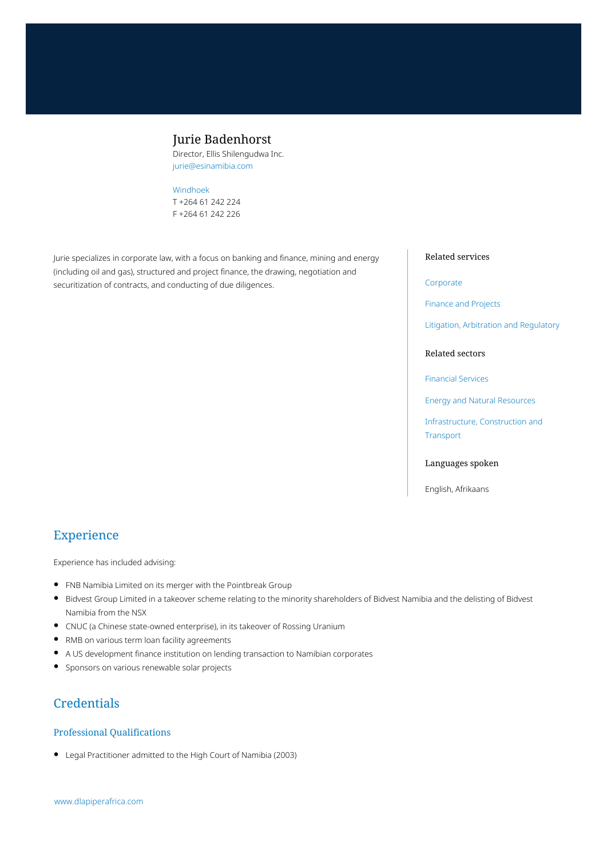# Jurie Badenhorst

Director, Ellis Shilengudwa Inc. jurie@esinamibia.com

#### [Windhoek](https://www.dlapiperafrica.com/namibia/locations/windhoek.html)

T +264 61 242 224 F +264 61 242 226

Jurie specializes in corporate law, with a focus on banking and finance, mining and energy (including oil and gas), structured and project finance, the drawing, negotiation and securitization of contracts, and conducting of due diligences.

## Related services

#### [Corporate](https://www.dlapiperafrica.com/en/namibia/services/corporate.html)

[Finance and Projects](https://www.dlapiperafrica.com/en/namibia/services/finance-and-projects.html)

[Litigation, Arbitration and Regulatory](https://www.dlapiperafrica.com/en/namibia/services/litigation-and-regulatory.html)

#### Related sectors

[Financial Services](https://www.dlapiperafrica.com/en/namibia/sectors/financial-services.html)

[Energy and Natural Resources](https://www.dlapiperafrica.com/en/namibia/sectors/energy-and-natural-resources.html)

[Infrastructure, Construction and](https://www.dlapiperafrica.com/en/namibia/sectors/infrastructure-construction-transport.html) [Transport](https://www.dlapiperafrica.com/en/namibia/sectors/infrastructure-construction-transport.html)

#### Languages spoken

English, Afrikaans

# Experience

Experience has included advising:

- FNB Namibia Limited on its merger with the Pointbreak Group  $\bullet$
- $\bullet$ Bidvest Group Limited in a takeover scheme relating to the minority shareholders of Bidvest Namibia and the delisting of Bidvest Namibia from the NSX
- CNUC (a Chinese state-owned enterprise), in its takeover of Rossing Uranium
- RMB on various term loan facility agreements
- A US development finance institution on lending transaction to Namibian corporates
- Sponsors on various renewable solar projects

# **Credentials**

#### Professional Qualifications

Legal Practitioner admitted to the High Court of Namibia (2003)